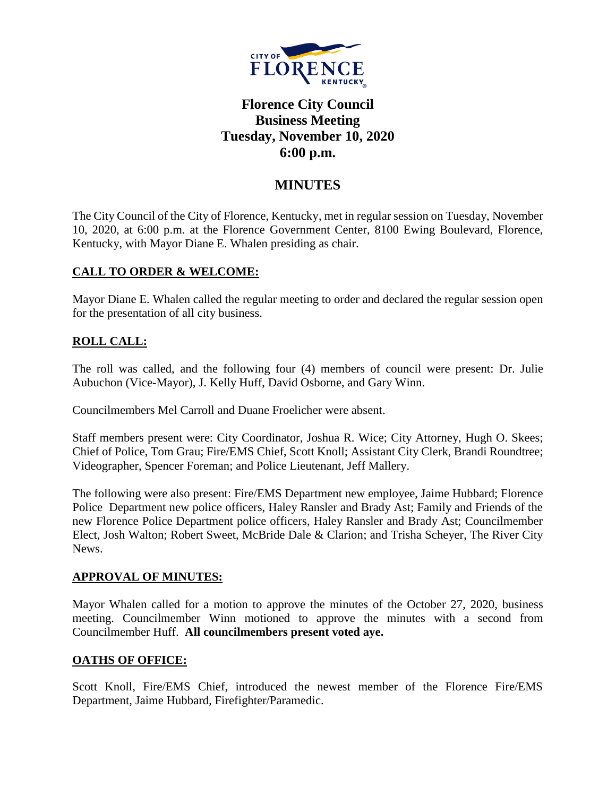

# **Florence City Council Business Meeting Tuesday, November 10, 2020 6:00 p.m.**

## **MINUTES**

The City Council of the City of Florence, Kentucky, met in regular session on Tuesday, November 10, 2020, at 6:00 p.m. at the Florence Government Center, 8100 Ewing Boulevard, Florence, Kentucky, with Mayor Diane E. Whalen presiding as chair.

## **CALL TO ORDER & WELCOME:**

Mayor Diane E. Whalen called the regular meeting to order and declared the regular session open for the presentation of all city business.

## **ROLL CALL:**

The roll was called, and the following four (4) members of council were present: Dr. Julie Aubuchon (Vice-Mayor), J. Kelly Huff, David Osborne, and Gary Winn.

Councilmembers Mel Carroll and Duane Froelicher were absent.

Staff members present were: City Coordinator, Joshua R. Wice; City Attorney, Hugh O. Skees; Chief of Police, Tom Grau; Fire/EMS Chief, Scott Knoll; Assistant City Clerk, Brandi Roundtree; Videographer, Spencer Foreman; and Police Lieutenant, Jeff Mallery.

The following were also present: Fire/EMS Department new employee, Jaime Hubbard; Florence Police Department new police officers, Haley Ransler and Brady Ast; Family and Friends of the new Florence Police Department police officers, Haley Ransler and Brady Ast; Councilmember Elect, Josh Walton; Robert Sweet, McBride Dale & Clarion; and Trisha Scheyer, The River City News.

## **APPROVAL OF MINUTES:**

Mayor Whalen called for a motion to approve the minutes of the October 27, 2020, business meeting. Councilmember Winn motioned to approve the minutes with a second from Councilmember Huff. **All councilmembers present voted aye.** 

## **OATHS OF OFFICE:**

Scott Knoll, Fire/EMS Chief, introduced the newest member of the Florence Fire/EMS Department, Jaime Hubbard, Firefighter/Paramedic.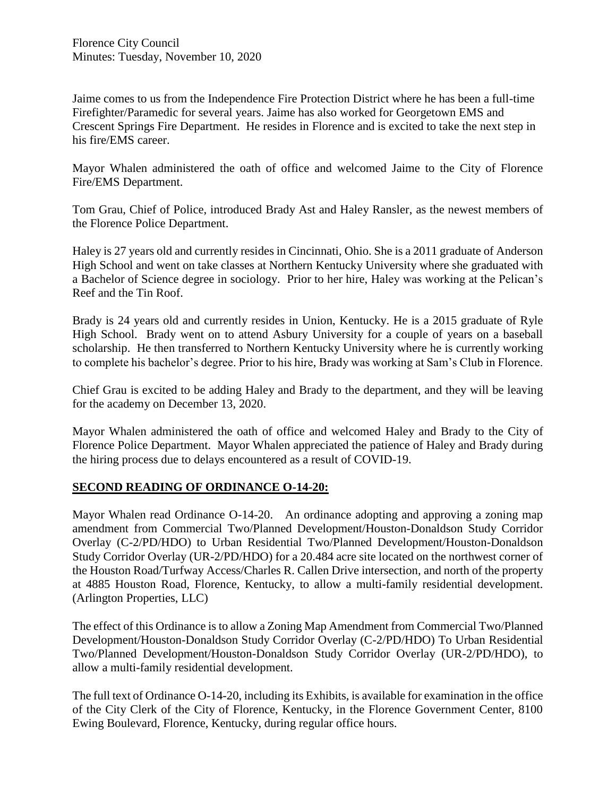Jaime comes to us from the Independence Fire Protection District where he has been a full-time Firefighter/Paramedic for several years. Jaime has also worked for Georgetown EMS and Crescent Springs Fire Department. He resides in Florence and is excited to take the next step in his fire/EMS career.

Mayor Whalen administered the oath of office and welcomed Jaime to the City of Florence Fire/EMS Department.

Tom Grau, Chief of Police, introduced Brady Ast and Haley Ransler, as the newest members of the Florence Police Department.

Haley is 27 years old and currently resides in Cincinnati, Ohio. She is a 2011 graduate of Anderson High School and went on take classes at Northern Kentucky University where she graduated with a Bachelor of Science degree in sociology. Prior to her hire, Haley was working at the Pelican's Reef and the Tin Roof.

Brady is 24 years old and currently resides in Union, Kentucky. He is a 2015 graduate of Ryle High School. Brady went on to attend Asbury University for a couple of years on a baseball scholarship. He then transferred to Northern Kentucky University where he is currently working to complete his bachelor's degree. Prior to his hire, Brady was working at Sam's Club in Florence.

Chief Grau is excited to be adding Haley and Brady to the department, and they will be leaving for the academy on December 13, 2020.

Mayor Whalen administered the oath of office and welcomed Haley and Brady to the City of Florence Police Department. Mayor Whalen appreciated the patience of Haley and Brady during the hiring process due to delays encountered as a result of COVID-19.

## **SECOND READING OF ORDINANCE O-14-20:**

Mayor Whalen read Ordinance O-14-20. An ordinance adopting and approving a zoning map amendment from Commercial Two/Planned Development/Houston-Donaldson Study Corridor Overlay (C-2/PD/HDO) to Urban Residential Two/Planned Development/Houston-Donaldson Study Corridor Overlay (UR-2/PD/HDO) for a 20.484 acre site located on the northwest corner of the Houston Road/Turfway Access/Charles R. Callen Drive intersection, and north of the property at 4885 Houston Road, Florence, Kentucky, to allow a multi-family residential development. (Arlington Properties, LLC)

The effect of this Ordinance is to allow a Zoning Map Amendment from Commercial Two/Planned Development/Houston-Donaldson Study Corridor Overlay (C-2/PD/HDO) To Urban Residential Two/Planned Development/Houston-Donaldson Study Corridor Overlay (UR-2/PD/HDO), to allow a multi-family residential development.

The full text of Ordinance O-14-20, including its Exhibits, is available for examination in the office of the City Clerk of the City of Florence, Kentucky, in the Florence Government Center, 8100 Ewing Boulevard, Florence, Kentucky, during regular office hours.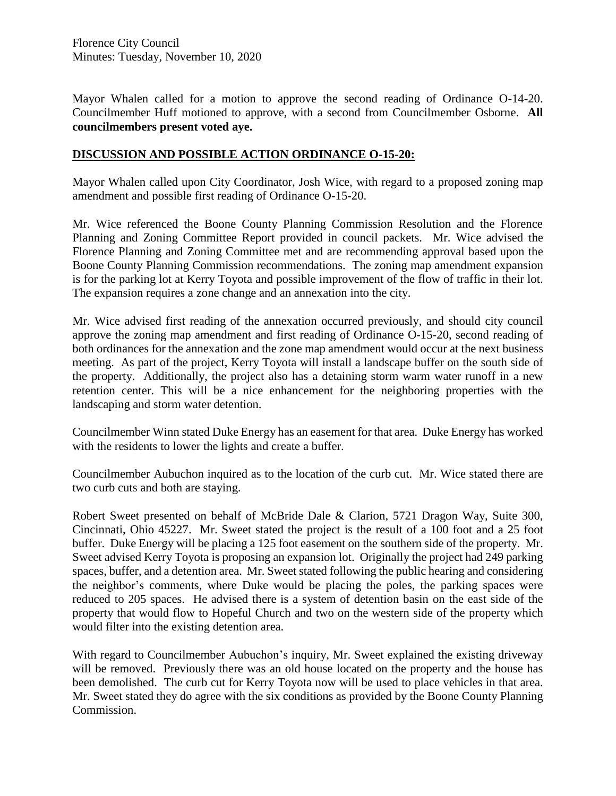Florence City Council Minutes: Tuesday, November 10, 2020

Mayor Whalen called for a motion to approve the second reading of Ordinance O-14-20. Councilmember Huff motioned to approve, with a second from Councilmember Osborne. **All councilmembers present voted aye.** 

#### **DISCUSSION AND POSSIBLE ACTION ORDINANCE O-15-20:**

Mayor Whalen called upon City Coordinator, Josh Wice, with regard to a proposed zoning map amendment and possible first reading of Ordinance O-15-20.

Mr. Wice referenced the Boone County Planning Commission Resolution and the Florence Planning and Zoning Committee Report provided in council packets. Mr. Wice advised the Florence Planning and Zoning Committee met and are recommending approval based upon the Boone County Planning Commission recommendations. The zoning map amendment expansion is for the parking lot at Kerry Toyota and possible improvement of the flow of traffic in their lot. The expansion requires a zone change and an annexation into the city.

Mr. Wice advised first reading of the annexation occurred previously, and should city council approve the zoning map amendment and first reading of Ordinance O-15-20, second reading of both ordinances for the annexation and the zone map amendment would occur at the next business meeting. As part of the project, Kerry Toyota will install a landscape buffer on the south side of the property. Additionally, the project also has a detaining storm warm water runoff in a new retention center. This will be a nice enhancement for the neighboring properties with the landscaping and storm water detention.

Councilmember Winn stated Duke Energy has an easement for that area. Duke Energy has worked with the residents to lower the lights and create a buffer.

Councilmember Aubuchon inquired as to the location of the curb cut. Mr. Wice stated there are two curb cuts and both are staying.

Robert Sweet presented on behalf of McBride Dale & Clarion, 5721 Dragon Way, Suite 300, Cincinnati, Ohio 45227. Mr. Sweet stated the project is the result of a 100 foot and a 25 foot buffer. Duke Energy will be placing a 125 foot easement on the southern side of the property. Mr. Sweet advised Kerry Toyota is proposing an expansion lot. Originally the project had 249 parking spaces, buffer, and a detention area. Mr. Sweet stated following the public hearing and considering the neighbor's comments, where Duke would be placing the poles, the parking spaces were reduced to 205 spaces. He advised there is a system of detention basin on the east side of the property that would flow to Hopeful Church and two on the western side of the property which would filter into the existing detention area.

With regard to Councilmember Aubuchon's inquiry, Mr. Sweet explained the existing driveway will be removed. Previously there was an old house located on the property and the house has been demolished. The curb cut for Kerry Toyota now will be used to place vehicles in that area. Mr. Sweet stated they do agree with the six conditions as provided by the Boone County Planning Commission.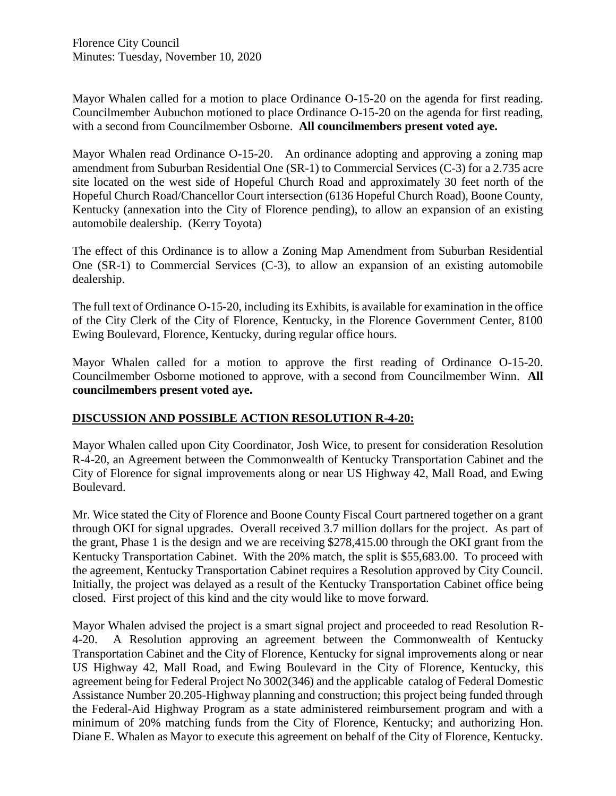Florence City Council Minutes: Tuesday, November 10, 2020

Mayor Whalen called for a motion to place Ordinance O-15-20 on the agenda for first reading. Councilmember Aubuchon motioned to place Ordinance O-15-20 on the agenda for first reading, with a second from Councilmember Osborne. **All councilmembers present voted aye.** 

Mayor Whalen read Ordinance O-15-20. An ordinance adopting and approving a zoning map amendment from Suburban Residential One (SR-1) to Commercial Services (C-3) for a 2.735 acre site located on the west side of Hopeful Church Road and approximately 30 feet north of the Hopeful Church Road/Chancellor Court intersection (6136 Hopeful Church Road), Boone County, Kentucky (annexation into the City of Florence pending), to allow an expansion of an existing automobile dealership. (Kerry Toyota)

The effect of this Ordinance is to allow a Zoning Map Amendment from Suburban Residential One (SR-1) to Commercial Services (C-3), to allow an expansion of an existing automobile dealership.

The full text of Ordinance O-15-20, including its Exhibits, is available for examination in the office of the City Clerk of the City of Florence, Kentucky, in the Florence Government Center, 8100 Ewing Boulevard, Florence, Kentucky, during regular office hours.

Mayor Whalen called for a motion to approve the first reading of Ordinance O-15-20. Councilmember Osborne motioned to approve, with a second from Councilmember Winn. **All councilmembers present voted aye.** 

## **DISCUSSION AND POSSIBLE ACTION RESOLUTION R-4-20:**

Mayor Whalen called upon City Coordinator, Josh Wice, to present for consideration Resolution R-4-20, an Agreement between the Commonwealth of Kentucky Transportation Cabinet and the City of Florence for signal improvements along or near US Highway 42, Mall Road, and Ewing Boulevard.

Mr. Wice stated the City of Florence and Boone County Fiscal Court partnered together on a grant through OKI for signal upgrades. Overall received 3.7 million dollars for the project. As part of the grant, Phase 1 is the design and we are receiving \$278,415.00 through the OKI grant from the Kentucky Transportation Cabinet. With the 20% match, the split is \$55,683.00. To proceed with the agreement, Kentucky Transportation Cabinet requires a Resolution approved by City Council. Initially, the project was delayed as a result of the Kentucky Transportation Cabinet office being closed. First project of this kind and the city would like to move forward.

Mayor Whalen advised the project is a smart signal project and proceeded to read Resolution R-4-20. A Resolution approving an agreement between the Commonwealth of Kentucky Transportation Cabinet and the City of Florence, Kentucky for signal improvements along or near US Highway 42, Mall Road, and Ewing Boulevard in the City of Florence, Kentucky, this agreement being for Federal Project No 3002(346) and the applicable catalog of Federal Domestic Assistance Number 20.205-Highway planning and construction; this project being funded through the Federal-Aid Highway Program as a state administered reimbursement program and with a minimum of 20% matching funds from the City of Florence, Kentucky; and authorizing Hon. Diane E. Whalen as Mayor to execute this agreement on behalf of the City of Florence, Kentucky.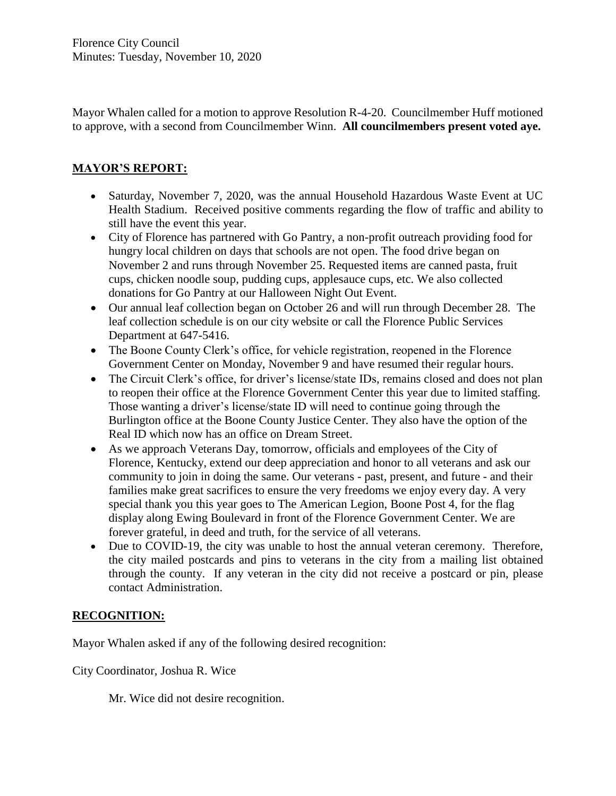Mayor Whalen called for a motion to approve Resolution R-4-20. Councilmember Huff motioned to approve, with a second from Councilmember Winn. **All councilmembers present voted aye.** 

## **MAYOR'S REPORT:**

- Saturday, November 7, 2020, was the annual Household Hazardous Waste Event at UC Health Stadium. Received positive comments regarding the flow of traffic and ability to still have the event this year.
- City of Florence has partnered with Go Pantry, a non-profit outreach providing food for hungry local children on days that schools are not open. The food drive began on November 2 and runs through November 25. Requested items are canned pasta, fruit cups, chicken noodle soup, pudding cups, applesauce cups, etc. We also collected donations for Go Pantry at our Halloween Night Out Event.
- Our annual leaf collection began on October 26 and will run through December 28. The leaf collection schedule is on our city website or call the Florence Public Services Department at 647-5416.
- The Boone County Clerk's office, for vehicle registration, reopened in the Florence Government Center on Monday, November 9 and have resumed their regular hours.
- The Circuit Clerk's office, for driver's license/state IDs, remains closed and does not plan to reopen their office at the Florence Government Center this year due to limited staffing. Those wanting a driver's license/state ID will need to continue going through the Burlington office at the Boone County Justice Center. They also have the option of the Real ID which now has an office on Dream Street.
- As we approach Veterans Day, tomorrow, officials and employees of the City of Florence, Kentucky, extend our deep appreciation and honor to all veterans and ask our community to join in doing the same. Our veterans - past, present, and future - and their families make great sacrifices to ensure the very freedoms we enjoy every day. A very special thank you this year goes to The American Legion, Boone Post 4, for the flag display along Ewing Boulevard in front of the Florence Government Center. We are forever grateful, in deed and truth, for the service of all veterans.
- Due to COVID-19, the city was unable to host the annual veteran ceremony. Therefore, the city mailed postcards and pins to veterans in the city from a mailing list obtained through the county. If any veteran in the city did not receive a postcard or pin, please contact Administration.

## **RECOGNITION:**

Mayor Whalen asked if any of the following desired recognition:

City Coordinator, Joshua R. Wice

Mr. Wice did not desire recognition.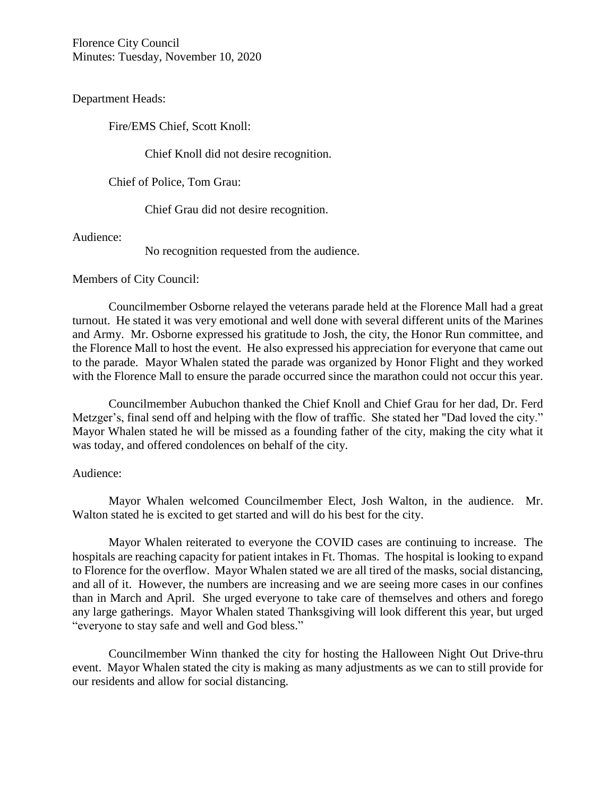Florence City Council Minutes: Tuesday, November 10, 2020

Department Heads:

Fire/EMS Chief, Scott Knoll:

Chief Knoll did not desire recognition.

Chief of Police, Tom Grau:

Chief Grau did not desire recognition.

Audience:

No recognition requested from the audience.

Members of City Council:

Councilmember Osborne relayed the veterans parade held at the Florence Mall had a great turnout. He stated it was very emotional and well done with several different units of the Marines and Army. Mr. Osborne expressed his gratitude to Josh, the city, the Honor Run committee, and the Florence Mall to host the event. He also expressed his appreciation for everyone that came out to the parade. Mayor Whalen stated the parade was organized by Honor Flight and they worked with the Florence Mall to ensure the parade occurred since the marathon could not occur this year.

Councilmember Aubuchon thanked the Chief Knoll and Chief Grau for her dad, Dr. Ferd Metzger's, final send off and helping with the flow of traffic. She stated her "Dad loved the city." Mayor Whalen stated he will be missed as a founding father of the city, making the city what it was today, and offered condolences on behalf of the city.

#### Audience:

Mayor Whalen welcomed Councilmember Elect, Josh Walton, in the audience. Mr. Walton stated he is excited to get started and will do his best for the city.

Mayor Whalen reiterated to everyone the COVID cases are continuing to increase. The hospitals are reaching capacity for patient intakes in Ft. Thomas. The hospital is looking to expand to Florence for the overflow. Mayor Whalen stated we are all tired of the masks, social distancing, and all of it. However, the numbers are increasing and we are seeing more cases in our confines than in March and April. She urged everyone to take care of themselves and others and forego any large gatherings. Mayor Whalen stated Thanksgiving will look different this year, but urged "everyone to stay safe and well and God bless."

Councilmember Winn thanked the city for hosting the Halloween Night Out Drive-thru event. Mayor Whalen stated the city is making as many adjustments as we can to still provide for our residents and allow for social distancing.